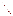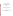**May 5, 2006** 

# **SUPPORTING STATEMENT**

# **INFORMATION COLLECTION REQUEST**

# **RENEWAL**

 **for**

# **CUSTOMER SATISFACTION SURVEYS**

**of**

**The United States Environmental Protection Agency ICR 1711.05 OMB No 2090-0019**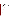# **Table of Contents**

|    | <b>Title</b>                                                                                                                                                                                                                                                                                                                                                                                                                                                                                                                                                                                                                                    | Page                                                                                   |
|----|-------------------------------------------------------------------------------------------------------------------------------------------------------------------------------------------------------------------------------------------------------------------------------------------------------------------------------------------------------------------------------------------------------------------------------------------------------------------------------------------------------------------------------------------------------------------------------------------------------------------------------------------------|----------------------------------------------------------------------------------------|
| 1. | Identification of the Information Collection<br>1(a) Title of the Information Collection<br>1(b) Short Characterization/Abstract                                                                                                                                                                                                                                                                                                                                                                                                                                                                                                                | 1<br>1<br>1                                                                            |
| 2. | Need for and Use of the Collection<br>2(a) Need/Authority for the Collection<br>1                                                                                                                                                                                                                                                                                                                                                                                                                                                                                                                                                               | 1                                                                                      |
|    | 2(b) Practical Utility/Users of the Data                                                                                                                                                                                                                                                                                                                                                                                                                                                                                                                                                                                                        | 3                                                                                      |
| 3. | Non-duplication, Consultations, and Other Collection Criteria<br>3(a) Non-duplication<br>3(b) Public Notice Required Prior to ICR Submission to OMB<br>3(c) Consultations<br>3(d) Effects of Less Frequent Collection<br>3(e) General Guidelines<br>3(f) Confidentiality<br>3(g) Sensitive Questions                                                                                                                                                                                                                                                                                                                                            | 4<br>4<br>555555<br>5                                                                  |
| 4. | The Respondents and The Information Requested<br>4(a) Respondents/SIC Codes<br>4(b) Information Requested<br>(I) Data items, including record keeping requirements<br>(II) Respondent Activities                                                                                                                                                                                                                                                                                                                                                                                                                                                | 5<br>$\begin{array}{c} 5 \\ 5 \\ 5 \end{array}$<br>6                                   |
| 5. | The Information Collected--Agency Activities, Collection Methodology,<br>and Information Management<br>5(a) Agency Activities<br>5(b) Collection Methodology and Management<br>5(c) Small Entity Flexibility<br>5(d) Collection Schedule                                                                                                                                                                                                                                                                                                                                                                                                        | 8<br>8<br>8<br>10<br>10                                                                |
| 6. | Estimating the Burden and Cost of the Collection<br>6(a) Estimating Respondent Burden<br>6(b) Estimating Respondent Costs<br>(I) Labor Costs<br>(II) Capital and Operations and Maintenance Costs<br>(III) Capital/Start-up vs. Operations and Maintenance (O&M) Costs<br>(IV) Annualizing Capital Costs<br>6(c) Estimating Agency Burden and Cost<br>6(d) Estimating the Respondent Universe and Total Burden and Costs<br>6(e) Bottom Line Burden Hours and Cost Tables<br><b>Respondent Tally</b><br>(I)<br>(II) The Agency Tally<br>(III) Variations in the Annual Bottom Line<br>(IV) Reasons for Change in Burden<br>(V) Burden Statement | 10<br>10<br>12<br>12<br>12<br>12<br>12<br>12<br>13<br>15<br>15<br>15<br>15<br>15<br>16 |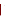#### **Table of Contents** (continued)

**List of Tables** Table 5-1 - Projected Use of Surveys 2006 - 2008 10 Table 6-1 - Burden Table 2006-2008 11 Table 6-2 - Respondent Universe, Total Burden and Costs 13 Table 6-3 - Agency Burden/Cost for Telephone Surveys 13 Table 6-4 - Agency Burden/Cost for Mail Surveys 14 Table 6-5 - Agency Burden/Cost for Customer Feedback Forms/Internet Screens 14 Table 6-6 - Agency Burden/Cost for Focus Groups 15 Table 6-7 -Aggregate Agency Table for Annual Burden/Cost 16 Table 6-8 – Aggregate EPA and Respondent Costs 16

#### **Exhibits - Samples of OMB - Approved EPA Survey Instruments**

| Exhibit 1 - Telephone Survey Questionnaire                             | 18 |
|------------------------------------------------------------------------|----|
| Exhibit 2 – NRMRL Feedback Cards, Evaluation Forms, Evaluation Surveys | 19 |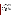## **U.S. ENVIRONMENTAL PROTECTION AGENCY VOLUNTARY CUSTOMER SATISFACTION SURVEYS TO IMPLEMENT EXECUTIVE ORDER (E.O.) 12862**

#### **1. Identification of the Information Collection**

#### **1(a) Title of the Information Collection:** Voluntary Customer Satisfaction Surveys

#### **1(b) Short Characterization/Abstract**

In accordance with Executive Order 12862, the Environmental Protection Agency is seeking from Office of Management and Budget (OMB) renewal of its generic clearance (OMB Control No. 2090-0019, expiring 06/30/06) for a period of three years. The clearance will be used to conduct two types of customer satisfaction surveys: "qualitative" surveys for identifying customer perceptions for expectations through focus groups or laboratory evaluations; and "quantitative" surveys for establishing general attitudes of EPA customers through a statistical sampling of customers. A customer, as described in E.O. 12862, is considered to be "...an individual or entity who is directly served by a department of an Agency."

By seeking renewal of the generic clearance for customer surveys, EPA will have the flexibility to gather the views of our customers to better determine the extent to which our services, products and processes satisfy their needs or need to be improved. The generic clearance will speed the review and approval of customer surveys that solicit opinions from EPA customers on a voluntary basis, and do not involve "fact-finding" for the purposes of regulatory development or enforcement.

EPA sponsoring organizations seeking approval to conduct a customer survey will continue to submit their survey instruments with a brief description to the customer service staff in the Office of Policy, Economics and Innovation within the Office of the Administrator, for a screening/assistance review of the questions. Following review, endorsed survey packages will be sent to EPA's Information Collections Division within the Office of Environmental Information and then to OMB. OMB will continue to review submissions for compliance with the Paperwork Reduction Act on an expedited schedule. EPA will provide OMB an annual summary of surveys conducted in accordance with OMB's Resource Manual for Customer Surveys (dated October 1993). The EPA estimates that a combination of customer satisfaction surveys (mail, telephone, feedback forms and Internet) and focus group studies will request voluntary responses from approximately 18,735 respondents for an estimated burden of 1,671 hours over the three-year period.

#### **2. Need for and Use of the Collection**

#### **2a. Need/Authority for the Collection**

Executive Order 12862, dated September 11, 1993, calls upon agencies to take the following actions:

- (a) identify the customers who are, or should be, served by the agency;
- (b) survey customers to determine the kind and quality of services they want and their level of satisfaction with existing services;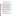- (c) post service standards and measure results against them;
- (d) benchmark customer service performance against the best in business;
- (e) survey front-line employees on barriers to, and ideas for, matching the best in business;
- (f) provide customers with choices in both the sources of service and the means of delivery;
- (g) make information, services, and complaint systems easily accessible, and
- (h) provide means to address customer complaints.

A March 1995 Presidential memo called upon federal agencies to enhance their customer service improvement efforts. A March 1998 Presidential memo underscored the continuing need to improve customer service and directed agencies to provide expanded opportunities for customers to communicate their needs and expectations. The Governmental Performance and Results Act of 1993 requires that agencies gather and use customer feedback. Finally, President Bush's Management Agenda underscores the need for citizencentered service delivery, increased satisfaction with government services, and the ability to prove government is doing a better job through measuring outcomes.

Using OMB's Resource Manual for Customer Surveys (dated October 1993), which outlines the steps an Agency must take to obtain a generic clearance for Customer Satisfaction Surveys, and provides guidance on obtaining quality survey results, EPA developed its 1997 1999, and 2002 generic information collection requests to enable staff across the Agency to continue sponsoring customer satisfaction surveys. To reflect the Terms of Clearance for the 1997 ICR, Customer Service Program (CSP) staff developed, distributed and posted on the CSP web site a fact sheet clearly stating the restrictions on the use of this clearance. Efforts were validated when the 2000 and 2003 Terms of Clearance supported our efforts to improve screening, encouraging staff to consult with the CSP staff.

During the past three years, EPA has worked cooperatively with OMB to clear survey instruments. CSP staff has also advised many individuals and their contractors that their survey designs could not fit under this ICR. CSP staff worked with others to develop surveys to assist them in gathering information that could serve at least part of their needs through this ICR. If CSP staff could not work with regional and program staff to modify questions to fit the ICR and satisfy the needs of staff and their managers, we rejected their use of the ICR. Our goal has been to ensure that the surveys submitted under this ICR clearly meet the Terms of Clearance that OMB set out when approving it:

"As stated in OMB's 1999 terms of clearance: "The generic ICR is approved to allow the expedited OMB clearance of EPA customer satisfaction surveys that are simple, straightforward, and narrowly focused to:

1. current or former customers of EPA products or services;

2. the level of satisfaction with an actual service or product provided by EPA that they have utilized; and,

3. their recommendations for improving said product or service."

Surveys that target these elements and are submitted to OMB in accordance with this ICR will be reviewed by OMB within 20 working days. EPA shall provide OMB with an annual report outlining the use of this generic clearance, including the number of surveys, the burden imposed, and a brief description of their purposes (a condition of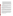previous clearances). OMB encourages agency staff to consult with EPA's Customer Service Program (CSP) for advice, survey evaluation, and clearance assistance. OMB reserves the authority to disapprove any individual survey that does not meet the conditions outlined in this ICR. This generic clearance does not extend to "fact finding" for the purpose of regulatory development or enforcement. OMB is relying in large part on EPA's internal review and quality control to develop useful customer information. Finally, this generic ICR approval does not, and is not intended to, cover all types of surveys that EPA may wish to do relating to customer satisfaction -- only the narrow range of surveys discussed above. Surveys that do not meet the terms of clearance for this expedited clearance process may be entirely valid and appropriate surveys, but they should be submitted under the normal PRA clearance process. The agency is required to display the OMB control number and inform respondents of its legal significance (see 5 CFR 1320.5(b))."

To fulfill its broad mandate of protecting human health and the environment, EPA provides a wide variety of voluntary public services ranging from information clearinghouses to educational programs and emergency hot lines. Corresponding to this broad range of services is a diverse universe of EPA customers, loosely defined by E.O. 12862 as "...an individual or entity who is directly served by a department or agency."

EPA expands this definition to include customers who chose not to participate in an EPA service function, such as persons who were provided the opportunity but did not comment on a permit, participate in a community meeting, join a partnership program, etc. Learning perceptions of our services from those who select not to use them may also assist the Agency in its service innovation efforts. As we continue to redesign our processes and practices, we will be asking customers who use our current services what, from their perspectives, would be the most useful improvements.

Because Agency services and customers are so diverse, the Agency is requesting a generic clearance that will maximize flexibility in the methods used to fulfill the requirements for the Executive Order and expedite OMB review and clearance process of customer satisfaction surveys. EPA maintains a central repository of surveys submitted to OMB in the Regulatory Information Division. In addition, EPA developed a summary of the surveys and collected the analytical reports produced. The CSP staff has shared the findings, analysis and "success stories" following the conduct of surveys so this information can benefit those planning future surveys.

OPEI staff assigned to oversee the use of this ICR will continue to be a resource to individuals considering the development of customer satisfaction measurement programs within their organizations, explaining what the customer satisfaction ICR does and does not cover and how to make the best use of it. EPA ended its National Customer Service Program in 2003. Since then, the former CSP director (Patricia Bonner) has continued to screen and process survey submittals under this ICR. In 2005, a second OPEI staff member (Michelle Mandolia) has been preparing to assume management of all submittals under the ICR and was responsible for development of this renewal request.

#### **2(b) Practical Utility/Uses of the Data**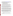Customer service standards (http://www.epa.gov/customerservice/) provide a basis for performance measurement systems to determine our success at reaching customers, and provide the necessary framework for a management role in the development and use of the survey results. Information gathered from these surveys will continue to assist EPA to build and validate measurement systems. Survey results may be used to identify:

- 1) service needs and expectations of EPA customers;
- 2) strengths and weaknesses of EPA services;
- 3) ideas or suggestions for improvement of EPA services from its customers;
- 4) barriers to achieving customer service standards; and
- 5) needed changes to customer service standards.

While the information will not be used for regulatory development, the results of customer surveys could lead to reallocations of resources, revisions in certain Agency processes and policies, and development of guidance related to EPA's customer services. Ultimately, these changes could result in improvements in services, products and processes the Agency provides to the public, and in turn, the public perception of the Agency.

To ensure proper design of EPA customer feedback and customer satisfaction measurement activities, increase the use and application of customer feedback, and build internal capacity to carry out these activities, the CSP coordinated development of "Hearing the Voice of the Customer - Customer Feedback and Customer Satisfaction Measurement Guidelines." The "Feedback Guidelines" were first published in November 1998. The CSP has sponsored training workshops on the application of the Guidelines.

A five-stage model for feedback: Plan, Construct, Conduct, Analyze and Act, is the foundation for the Guidelines. The document focuses major attention on the planning phase, with the object being to prevent duplication and poor design, and to eliminate survey work that will not result in actions that can benefit customers and the agency. A long series of detailed questions supplement the Guidelines to further assist the Feedback Advisors and others. The document is available on the Internet (http://www.epa.gov/customerservice/feedback.htm), and is being used by individuals in other federal and state agencies to guide their feedback efforts.

The Guidelines and questions are not our only resources. To help ensure that feedback information used in an appropriate fashion, CSP staff encourage EPA programs to develop surveys consistent with OMB's Resource Manual for Customer Surveys, EPA's Survey Management Handbook and to take advantage of survey development training such as that offered by the Joint Program in Survey Methodology (JPSM). The EPA staff managing use of this ICR will continue to facilitate sharing of information gathered from customer satisfaction surveys, and explore ways to aid programs in survey development.

As a result of past survey feedback, sponsors have taken actions to change to revamp our dockets, to streamline processes and improve web sites and regularly issued documents.

#### **3. Non-duplication, Consultations, and Other Collection Criteria**

#### **3(a) Non-duplication**

EPA service providers develop customer satisfaction surveys to learn how their customers perceive their specific services. Therefore, the information collected will not overlap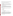with other customer satisfaction surveys. Every effort will be made to channel all customer related surveys through this ICR and to prevent misuse of this ICR for program effectiveness surveys.

## **3(b) Public Notice Required Prior to ICR Submission to OMB**

EPA conformed to the requirement for public notice by publishing a preliminary and final Federal Register Notice concerning our intent under this ICR and requesting comment.

## **3(c) Consultations**

To estimate ICR usage during the next three years, EPA staff managing use of this ICR requested input from EPA's Office of Environmental Information and reviewed ICR use over the previous year. This feedback and information was used to develop the burden estimates described in this document.

## **3(d) Effects of Less Frequent Collection**

This information collection could not be conducted less frequently. EPA will gage customer reactions to and perceptions of services and products the Agency now provides in order to improve them. Programs will not survey all customers, nor will each program survey every year. There will be sufficient time between surveys to allow the actions taken in response to customer comments to show results. There are no technical or legal obstacles to reducing the burden.

#### **3(e) General Guidelines**

This ICR complies with OMB's general guidelines for the collection of information.

#### **3(f) Confidentiality**

Not applicable

# **3(g) Sensitive Questions**

No sensitive data will be collected.

# **4. The Respondents and the Information Requested**

#### **4(a) Respondents/SIC Codes**

The Executive Order describes a customer as "...an individual or entity who is directly served by a department or agency." The EPA, by the very nature of its mandate, serves very large and diverse groups that receive or are in some way affected by EPA services. Past EPA customer groups targeted for customer satisfaction surveys include individual citizens, industry/business, states/other governments, and web users. Because several customer groups use the same services, a survey may reach more than one of the designated customer categories. (The code standard industrial code (SIC) for "General Public" is 99.)

# **4(b) Information Requested**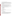(I) Data items, including record keeping requirements

The Agency will maintain records of the surveys sent to OMB in the ICD. Offices sponsoring the surveys will retain files of the surveys, responses and analysis. Since customer satisfaction surveys seek to gauge public opinions on Agency services, the surveys have not and will not involve respondents in extensive searching of existing sources, or reformatting information to submit to the Agency. The Agency does not anticipate any public record keeping activities under this ICR.

(II) Respondent Activities

EPA customer satisfaction surveys have focused on services (hot lines, dockets, clearinghouse, websites), products (technical assistance, documents, information, training, workshops) and processes (grants, inspections, registrations, permitting).

The surveys conducted under this clearance are of two major types, "quantitative" and qualitative. Respondent activities related to "quantitative" are dependent on the survey method; feedback instrument types and the activities for each follow.

Mail surveys and Customer Feedback Forms (including comment cards, evaluation forms and some web-based surveys)<sup>1</sup>. Both *may* involve the following activities:

- Read instructions;
- Search data sources:
- Complete questionnaire;
- Mail questionnaire.

Telephone Surveys

- Listen to instructions;
- Answer questions (oral response)

EPA expects to continue its use of these surveys. Respondent activities related to "qualitative" feedback may include:

Focus Groups or Interviews

- Listening to group instructions
- Participating in discussions;

 $1$  Customer feedback forms/comment cards/evaluation forms are considered to be short, 5 to 15 question forms that typically accompany, and seek feedback for a specific service (such as a training course, or "over the counter" service) or product (such as a manual, software, etc). Internet (web based) surveys also fit into this category. Mail surveys may involve more extensive questionnaires and may require more rigorous statistical sampling methodology to evaluate a certain group or groups' perceptions about a service the Agency offers.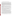• Completing any forms or materials provided at the group session.

EPA uses focus groups for evaluating various aspects of its programs, to assist in improving and testing of outreach materials and web sites, and to explore new aspects of service delivery.

*Training/Education/Outreach products and services*. EPA gathers feedback on its training, outreach products and educational programs through a variety of methods. The Agency distributes a broad array of materials to the public such as public affairs materials, videos, brochures and fact sheets, software, manuals, guidance material, reports, etc. It also holds many meetings, workshops and training sessions. Corresponding to this diverse set of products is a need to make extensive use of a variety of methods to evaluate customer satisfaction. EPA uses feedback forms in publications and on counters in service delivery areas, focus groups, mail and telephone surveys, and, when publications are available on the Internet, the Agency is using short on-line surveys to solicit customer input. Offices also ask for feedback on the usefulness of their web sites.

Many of these evaluation activities can use feedback forms to be completed by attendees after an EPA-sponsored event, or by users of documents, software or web sites. Focus groups are also useful for pre-testing EPA training materials (videos, brochures, etc.) prior to their dissemination to the public. Mail or telephone surveys help EPA identify a need for changes in training/educational programs, outreach products or services to assure their usefulness to a specific audience.

*Hot lines/PICs/clearinghouses*. Hotline evaluations are conducted on selected samples of hotline users. By their very nature, hotline customers will most often be surveyed by telephone. However, more complex surveys may require face-to-face interviews, focus sessions, or mail questionnaires. In addition, comment cards are used periodically when information packets are mailed by hotline, Public Information Center (PIC) or clearinghouse staff.

*Miscellaneous Service Related Activities*. The EPA has a broad network consisting of its headquarters and regional offices, laboratories, and field offices that may conduct customer surveys on outreach and other services that they provide. Most mail and telephone surveys are conducted under this "miscellaneous" category.

To reduce respondent burden, EPA has been expanding use of Internet feedback screens and comment blocks to provide increased opportunity for customers to comment on attributes of our services and web sites. Fewer offices each year develop lengthy questionnaires. Focus groups, though they require higher respondent burden, are still used because of the specificity and the depth of responses that offices/regions can obtain from them.

The redesign of EPA's web pages required comment buttons on all EPA Internet sites. The Agency is therefore receiving and will continue to receive informal feedback and questions that are purely voluntary and not solicited specifically through sets of Agency questions of nine or more individuals outside the Federal government. We plan to continue to manage and act upon such customer information, particularly to improve EPA's on-line information service on the Internet.

OMB's Resource Manual for Customer Surveys (dated October 1993) and other relevant guidance documents state that the generic clearance shall be used for "strictly voluntary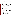collections of opinion information from clients that have experience with the program that is the subject of each data collection" and precludes this option for use:

- by regulatory agencies to survey regulated entities<sup>2</sup>;
- in any situation where a respondent may perceive that a response will result in risks to his interests through potential penalties or loss of benefits;
- for collecting factual information (other than simple identifying information, where needed); or
- for collecting data from the general public. $3$

# **5. The Information Collected**

# **Agency Activities, Collection Methodology, and Information Management**

## **5(a) Agency Activities.**

Agency activities associated with the collection of information include:

- Developing survey design, assembling data sources (mailing lists, etc.) and pretesting questionnaire;
- Internal EPA review and approval of questionnaire;
- Disseminating questionnaire to respondents;
- Gathering information from respondents;
- Answering respondent questions, follow-up;
- Reviewing data;
- Recording submissions and analyzing results;
- Preparing findings;
- Storing and maintaining results
- Making results public via annual reports and the Internet.

We do not account for the work of implementing and tracking actions taken as a result of customer feedback.

# **5(b) Collection Methodology and Information Management**.

Prior to initiating any survey, sponsoring programs must seek final approval from OMB. EPA staff managing this ICR will continue to encourage survey sponsors to develop instruments using the 12 step process outlined in OMB's Resource Manual for Customer Satisfaction Surveys (dated October 1993). The following internal review process, independent of the originating program office, will continue:

To obtain approval, sponsoring programs must submit a clearance package consisting of a memorandum from the program or office director and a copy of the survey instrument through the staff managing this ICR to the Information Collections Division in the Office of Environmental Information that will forward acceptable packages to OMB.

 $\overline{\phantom{a}}$  $2$  EPA interprets this to preclude any EPA purposes of regulatory development or enforcement.

 $3$  EPA interprets this to mean random sampling of the general public in a "market research" mode.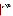- Survey title, identification of survey originator (Office, point of contact/phone number)
- Description and intended purpose of the survey as it relates to EPA customers
- Methodology and use of anticipated results
- Collection schedule, follow-up plans
- Costs and burden to the Agency and respondents, and the number of respondents
- The memorandum will vary in length and detail, depending on the complexity of the survey. ICD staff, experienced with the requirements of the Paperwork Reduction Act (PRA), will review each submission to ensure that it meets the requirements of the PRA and any conditions of the generic approval, and may reject any proposed customer survey that does not meet the criteria outlined in Section 3(b).
- Statistical methods will not be used for many of the collections covered under this generic clearance. However, if a collection does use statistical methods to select a sample, answers to questions 1 through 5 in the section of the OMB guidelines for preparing supporting statements will be provided for that specific survey at the time the survey instrument is sent to OMB for clearance. If statistical design or methodological issues arise, the program will obtain Agency statistical expertise to help make any final determinations as to the statistical validity of the customer survey prior to OMB submittal.
- ICD will submit surveys and attached materials to OMB for an expedited review and determination. On an annual basis, the EPA shall submit a summary of the surveys cleared under the generic clearance to OMB. The summary shall include the survey title, sponsoring office, number of respondents and estimated burden hours.
- Sponsoring organizations within the EPA should maintain records according to each survey schedule. In general, survey results should be maintained for three years or until after follow-up activities have been completed.
- All offices will provide copies of their approved surveys, analytical reports and follow-up actions taken based on survey results to customer service.
- The customer service staff will share results and success stories with other offices and provide feedback to ICD on overall survey results. This base of experiences/lessonslearned could be useful in establishing model surveys for developing customer measurement programs within the EPA and other Agencies.

EPA expects use of five basic types of survey instruments for 2006-2008: feedback (to include comment cards, feedback and short evaluation forms), web based questionnaires, mail surveys, telephone surveys/short interviews and focus groups/long interviews. These are displayed in Table 5-1.

<sup>4</sup>  $4$  For customer feedback forms and short questionnaires, a one page memorandum should be sufficient. Mail or telephone surveys making use of statistical sampling must include the statistician's name/phone, and a brief description of the statistical aspects of the survey, such as the statistical approach, population coverage, survey design, precision requirement, and pretests/pilot tests.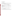# **5 (c) Small Entity Flexibility.**

Not applicable.

# **5 (d) Collection Schedule**.

This will be dependent upon the needs of each originator of a survey. Schedules for customer surveys will be documented in the package submitted to the Information Collections Division for review and submittal to OMB.

| <b>Survey Type</b>               | <b>Total Uses 2006-2008</b> |
|----------------------------------|-----------------------------|
| Web based                        | 48                          |
| Feedback/Comment/Evaluation Form | 15                          |
| Mail/detailed evaluation form    | 3                           |
| Telephone                        | 3                           |
| Focus Group                      | 3                           |
| Total                            | 72                          |

# **Table 5-1 Projected Use of Surveys 2006-2008**

# **6. Estimating the Burden and the Cost of the Collection**

# **6(a) Estimating Respondent Burden**.

The estimate was based on the projected survey plans of EPA programs as summarized in Table 6-1. Table 6-2 summarizes respondent burden over the three years by survey type.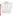# **Table 6-1 EPA CUSTOMER SATISFACTION SURVEYS INFORMATION COLLECTION REQUEST BURDEN TABLE 2006 - 2008**

| <b>Feedback Instrument</b>                  | <b>Number</b><br>of uses<br>each<br>year | (Number of uses<br>each year x number<br>of people responding<br>to each)=Total<br>People<br><b>Responding annually</b> | (Respondent time x<br>number of people<br>responding)=total<br>annual hours | <b>Total people</b><br>responding<br>2006-2008 | Total<br>hours<br>2006-2008 |
|---------------------------------------------|------------------------------------------|-------------------------------------------------------------------------------------------------------------------------|-----------------------------------------------------------------------------|------------------------------------------------|-----------------------------|
| Web based/e-mail<br>based surveys           | 15                                       | $(15 \times 200)$ =<br>3,000 people                                                                                     | $(5 \text{ min. x } 3,000)$ =<br>250 hours                                  | 9,000 people                                   | 750 hours                   |
| OEI online surveys                          | 1                                        | $(1 \times 2,640)$ =<br>2,640 people                                                                                    | $(5 \text{ min. x } 2,640)$ =<br>220 hours                                  | 7,920 people                                   | 660 hours                   |
| Feedback/Comment/<br><b>Evaluation Form</b> | 5                                        | $(5 \times 100)$ =<br>500 people                                                                                        | $(5 \text{ min. x } 500)$ =<br>42 hours                                     | 1,500 people                                   | 126 hours                   |
| Mail survey/detailed<br>evaluation form     | 1                                        | $(1 \times 60)$ =<br>60 people                                                                                          | $(10 \text{ min. x } 60)$ =<br>10 hours                                     | 180 people                                     | 30 hours                    |
| Telephone survey                            | 1                                        | $(1 \times 30)$ =<br>30 people                                                                                          | $(10 \text{ min. x } 30)$ =<br>5 hours                                      | 90 people                                      | 15 hours                    |
| Focus groups                                | 1                                        | $(1 \times 15)$ =<br>15 people                                                                                          | $(2$ hours x $15$ )=<br>30 hours                                            | 45 people                                      | 90 hours                    |
| <b>TOTALS</b>                               | 24                                       | 6,245 people                                                                                                            | 557 hours                                                                   | 18,735 people                                  | 1,671 hours                 |

Recent feedback from EPA programs suggests continuing interest in using customer satisfaction surveys as part of the overall long-term strategy of these organizations. The EPA estimates 557 hours of respondent burden on the part of 6,245 individuals each year from 2006 to 2008.

The EPA program staff planning to use this generic clearance know that burden should be as low as possible in keeping with the Paperwork Reduction Act. Survey designs will be simple, convenient, easy to respond to, and clear in content and purpose. Few long surveys will be designed; most surveys will be of limited scope and require only a short time to complete. Many comments card/feedback forms will be used, and programs will continue to increase their use of web based feedback.

Section 5(b) describes the types and number of uses for five types of survey instruments. If programs succeed in their expanded use of Internet for customer satisfaction surveys, burden could be further reduced. EPA may achieve additional reductions by eliminating some planned surveys through sharing results of completed surveys across the Agency.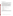# **6(b) Estimating Respondent Costs**

# I Labor Costs

Since the respondents represent such a diverse group, EPA based wage estimates on the Bureau of Labor Statistics (BLS) of the U.S. Department of Labor weekly earnings of wage and salary workers as reported on January 19, 2005, in the BLS news release "Usual Weekly Earnings of Wage and Salary Workers: Fourth Quarter 2005." The weekly earnings are \$659.00; this computes to \$16.50 per hour for a 40 hour week.

There is no need for "developing, acquiring, or utilizing technology and systems for the purpose of collecting, validating or verifying information," "....disclosing and providing information," "adjusting the existing ways to comply with any previously applicable instructions or requirements," "training personnel to be able to respond to a collection of information," "searching data sources," nor a need for the respondents to keep records. Burden activities include only a few steps: reviewing instructions, responding, and sending (e-mail or mail) responses when the surveys are not performed in person or over the telephone.

 Table 6-2 displays the annual burden estimates for respondents and total estimated respondent costs.

II Capital and Operations and Maintenance Costs

Not applicable.

III Capital/Start-up vs. Operating and Maintenance (O & M) Costs

Not applicable.

IV Annualizing Capital Costs

Not applicable.

# **6 (c) Estimating Agency Burden and Cost**.

Tables 6-3 through 6-7 provide the annual estimates for agency burden associated with developing, disseminating customer surveys and analyzing the results. Wage estimates were divided into three categories of labor: Management (GS-15), Technical (GS-13), and Clerical  $(GS-7).$ <sup>5</sup>

 <sup>5</sup> Agency hourly wages estimates were made using the 2006 figure, step 5 for each grade.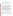| <b>Survey Type</b>                             | 3 years<br><b>Surveys</b> | <b>Respondents</b> | <b>Total Hours</b> | <b>Total Cost</b> |
|------------------------------------------------|---------------------------|--------------------|--------------------|-------------------|
| Mail                                           | 3                         | 180                | 30                 | \$456             |
| Telephone                                      | 3                         | 90                 | 15                 | \$228             |
| Feedback cards,<br>evaluations + Web-<br>based | 63                        | 18,420             | 1,536              | \$23,347.2        |
| <b>Focus Groups</b>                            | 3                         | 45                 | 90                 | \$1,368           |
| Totals                                         | 72                        | 18,735             | 1,671              | \$25,399.2        |

**Table 6-2 Respondent Universe, Total Burden and Costs**

OPEI and Information Collection staffs will be sharing information and survey instruments across the Agency. Feedback Advisors will also use this information to assist people. Costs per instrument should continue to be reduced as Agency staff members gain experience with feedback through Internet, and with developing and analyzing surveys of other types. However, since these cost reductions cannot be accurately estimated, aggregate annual costs that follow do not reflect these cost reductions to the Agency.

# **6(d) Estimating the Respondent Universe and Total Burden and Costs Burden**

Table 6-1 provides information on each survey by instrument type, number of respondents expected, and burden hours requested per survey. Table 6-8 summarizes the total burden and costs for respondents, and the Agency. Activities have been grouped to reflect the various types of surveys and the total respondents expected for each instrument type. In all cases, the activities performed remain only the time required to read, respond and transmit the survey instruments. Burden estimates were calculated using the median weekly earnings of the nation's full-time wage and salary workers in the fourth quarter of 2005, \$659.00, or \$16.50 per hour for a 40 hour week.

| <b>Activities</b>                                                                                                                                                                       | Manager<br>@ \$58                             | <b>Burden</b><br>Technical<br>@ \$42               | <b>Hours</b><br>Clerical<br>@ \$20              | Total Hrs.                                         | <b>Total Cost</b>                                                   |
|-----------------------------------------------------------------------------------------------------------------------------------------------------------------------------------------|-----------------------------------------------|----------------------------------------------------|-------------------------------------------------|----------------------------------------------------|---------------------------------------------------------------------|
| Developing survey<br>Obtaining EPA approval<br>Gathering information<br>Reviewing data; follow-ups<br>Analyzing results<br>Storing and maintaining results<br>Preparing survey findings | 1.5<br>1.0<br>0.0<br>0.0<br>2.0<br>0.0<br>1.0 | 40.0<br>4.0<br>60.0<br>16.0<br>80.0<br>4.0<br>80.0 | 20.0<br>1.0<br>20.0<br>8.0<br>0.0<br>5.0<br>8.0 | 61.5<br>6.0<br>80.0<br>24.0<br>82.0<br>9.0<br>89.0 | \$2,167<br>\$246<br>\$2,920<br>\$832<br>\$3,476<br>\$268<br>\$3,578 |
| <b>Totals hours</b><br>Category costs                                                                                                                                                   | 5.5<br>\$319                                  | 284.0<br>\$11,928                                  | 62.0<br>\$1,240                                 | 351.5                                              | \$13,487                                                            |

|  | Table 6-3. Agency Burden/Cost for Telephone Surveys |  |  |
|--|-----------------------------------------------------|--|--|
|  |                                                     |  |  |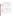| <b>Activities</b>                                                                                                                                                              | Manager<br>@\$58                              | <b>Burden</b><br>Technical<br>@ \$42              | <b>Hours</b><br>Clerical<br>@\$20              | Total<br><b>Hours</b>                              | <b>Total Cost</b>                                                   |
|--------------------------------------------------------------------------------------------------------------------------------------------------------------------------------|-----------------------------------------------|---------------------------------------------------|------------------------------------------------|----------------------------------------------------|---------------------------------------------------------------------|
| Developing survey<br>Obtaining EPA approval<br>Gathering information<br>Reviewing data<br>Analyzing results<br>Storing and maintaining<br>results<br>Preparing survey findings | 1.5<br>1.0<br>0.0<br>0.0<br>2.0<br>0.0<br>5.0 | 80.0<br>4.0<br>40.0<br>8.0<br>40.0<br>2.0<br>40.0 | 8.0<br>1.0<br>16.0<br>8.0<br>0.0<br>3.0<br>8.0 | 89.5<br>6.0<br>56.0<br>16.0<br>42.0<br>5.0<br>53.0 | \$3,607<br>\$246<br>\$2,000<br>\$496<br>\$1,796<br>\$144<br>\$2,130 |
| Totals hours<br>Category costs                                                                                                                                                 | 9.5<br>\$551                                  | 214.0<br>\$8,988                                  | 44.0<br>\$880                                  | 267.5                                              | \$10,419                                                            |

**Table 6-4. Agency Burden/Cost for Mail Surveys and Evaluation Forms**

# **Table 6-5. Agency Burden/Cost for Customer Feedback Forms/Internet Screens\***

| <b>Activities</b>                               | Manager @<br>\$58 | <b>Burden</b><br>Technical<br>@ \$42 | <b>Hours</b><br>Clerical @<br>\$20 | Total<br><b>Hours</b> | <b>Total Cost</b> |
|-------------------------------------------------|-------------------|--------------------------------------|------------------------------------|-----------------------|-------------------|
| Developing feedback<br>instruments              | 1.0               | 20.0                                 | 2.0                                | 23.0                  | \$938             |
| Obtaining EPA approval<br>Gathering information | 1.0<br>0.0        | 4.0<br>20.0                          | 1.0<br>16.0                        | 6.0<br>36.0           | \$246<br>\$1,160  |
| Reviewing data                                  | 0.0               | 8.0                                  | 8.0                                | 16.0                  | \$496             |
| Analyzing results                               | 2.0               | 20.0                                 | 0.0                                | 22.0                  | \$956             |
| Storing and maintaining<br>results              | 0.0               | 2.0                                  | 3.0                                | 5.0                   | \$144             |
| Preparing survey findings                       | 2.0               | 20.0                                 | 8.0                                | 30.0                  | \$1,116           |
| <b>Total hours</b><br>Category costs            | 6.0<br>\$348      | 94.0<br>\$3,948                      | 38.0<br>\$760                      | 138.0                 | \$5,056           |

\* Internet feedback forms, comment cards, short publication/meeting/workshop evaluation forms and short webbased surveys are grouped into this one category.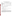| Activities                                                                                                                                                                                  | Manager<br>@ \$58                             | <b>Burden</b><br>Technical<br>@ \$42             | <b>Hours</b><br>Clerical @<br>\$20             | Total<br><b>Hours</b>                             | <b>Total Cost</b>                                               |
|---------------------------------------------------------------------------------------------------------------------------------------------------------------------------------------------|-----------------------------------------------|--------------------------------------------------|------------------------------------------------|---------------------------------------------------|-----------------------------------------------------------------|
| <b>Developing Focus Sessions</b><br>Obtaining EPA approval<br><b>Conducting Focus Groups</b><br>Reviewing data<br>Analyzing results<br>Storing and maintaining result<br>Preparing findings | 1.5<br>1.0<br>0.0<br>0.0<br>1.0<br>0.0<br>3.0 | 40.0<br>4.0<br>8.0<br>4.0<br>20.0<br>2.0<br>20.0 | 40.0<br>2.0<br>8.0<br>4.0<br>0.0<br>3.0<br>8.0 | 81.5<br>7.0<br>16.0<br>8.0<br>21.0<br>5.0<br>31.0 | \$2,567<br>\$266<br>\$496<br>\$248<br>\$898<br>\$144<br>\$1,174 |
| <b>Totals hours</b><br>Category costs                                                                                                                                                       | 6.5<br>\$377                                  | 98.0<br>\$4,116                                  | 65.0<br>\$1,300                                | 169.5                                             | \$5,793                                                         |

# **Table 6-6. Agency Burden/Cost for Focus Groups**

# **6(e) Bottom Line Burden Hours and Cost Tables**

- I Respondent Tally See Table 6-1.
- II The Agency Tally

Table 6-7 provides the Agency Tally estimates. The total EPA tally for the three-year period is \$407,625.

III Variations in the Annual Bottom Line

EPA burden hour projections are: 3,686.5 hours annually.

IV Reasons for Change in Burden

Within the Agency, fewer organizations than in past years have decided to do customer satisfaction surveys. We anticipate this trend to continue during the next three years, and expect more organizations to use web-based or short surveys. Offices and regions will be using a variety of techniques, but will repeatedly use the same survey instruments. The number of respondent burden hours will continue to drop as more organizations use web-based surveys and feedback options, rather than longer and more formal survey instruments. Respondent burden hours are: 557 hours annually.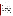| <b>Survey Collection</b><br><b>Type</b>                       | Annual # of<br><b>Collections</b> | <b>Annual</b><br><b>Cost</b> | <b>Annual Hours</b> |
|---------------------------------------------------------------|-----------------------------------|------------------------------|---------------------|
| Telephone                                                     | 1                                 | \$13,487                     | 351.5               |
| Mail                                                          | 1                                 | \$10,419                     | 267.5               |
| Feedback (cards, web-<br>based, e-mail &<br>evaluation forms) | 21                                | \$106,176                    | 2,898               |
| <b>Focus Groups</b>                                           | 1                                 | \$5,793                      | 169.5               |
| Totals                                                        | 24                                | \$135,875                    | 3,686.5             |

# **Table 6-7. Aggregate Agency Table for Annual Burden/Cost**

# V Burden Statement

The following statement applies overall to the planned surveys for the next three years:

The annual public reporting and recordkeeping burden for this collection of information is estimated to average 5.4 hours per response, including the time for reviewing instructions, gathering information, and completing and reviewing the collection of information. Burden means the total time, effort, or financial resources expended by persons to generate, maintain, retain, or disclose or provide information to or for a Federal agency. This includes the time needed to review instructions; develop, acquire, install, and utilize technology and systems for the purposes of collecting, validating, and verifying information, processing and maintaining information, and disclosing and providing information; adjust the existing ways to comply with any previously applicable instructions and requirements; train personnel to be able to respond to a collection of information; search data sources; complete and review the collection of information; and transmit or otherwise disclose the information. An agency may not conduct or sponsor, and a person is not required to respond to, a collection of information unless it displays a currently valid OMB control number. The OMB control numbers for EPA's regulations are listed in 40 CFR part 9 and 48 CFR chapter 15.

To comment on the Agency's need for this information, the accuracy of the provided burden estimates, and any suggested methods for minimizing respondent burden, including the use of automated collection techniques, EPA has established a public docket for this ICR under Docket ID Number EPA-HQ-OA-2006-0074, which is available for online viewing at www.regulations.gov, or in person viewing at the OEI Docket in the EPA Docket Center (EPA/DC), EPA West, Room B102, 1301 Constitution Avenue, NW, Washington, D.C. The EPA Docket Center Public Reading Room is open from 8:30 a.m. to 4:30 p.m., Monday through Friday, excluding legal holidays. The telephone number for the Reading Room is (202) 566- 1744, and the telephone number for the OEI Docket is (202) 566-1752. An electronic version of the public docket is available at www.regulations.gov. This site can be used to submit or view public comments, access the index listing of the contents of the public docket, and to access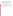those documents in the public docket that are available electronically. When in the system, select "search," then key in the Docket ID Number identified above. Also, you can send comments to the Office of Information and Regulatory Affairs, Office of Management and Budget, 725 17th Street, NW, Washington, D.C. 20503, Attention: Desk Officer for EPA. Please include the EPA Docket ID Number EPA-HQ-2006-0074 and OMB Control Number 2090-0019 in any correspondence.

|              | <b>Surveys</b> | <b>EPA</b> hours | <b>EPA costs</b> | Respondent hours | Respondent<br>costs |
|--------------|----------------|------------------|------------------|------------------|---------------------|
| 2006         | 24             | 3,686.5          | \$135,875        | 557              | \$8,466.4           |
| 2007         | 24             | 3,686.5          | \$135,875        | 557              | \$8,466.4           |
| 2008         | 24             | 3,686.5          | \$135,875        | 557              | \$8,466.4           |
| <b>Total</b> | 72             | 11,059.5         | \$407,625        | 1,671            | \$25,399.2          |

# **Table 6-8 Aggregate EPA and Respondent Costs**

Three year total respondents: 18,735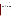# **EXHIBITS Samples of past OMB-Approved EPA Survey Instruments**

Two different OMB approved survey instruments follow as Exhibits 1 and 2. The first is an approved telephone survey questionnaire. The second is a set of several feedback cards and surveys administered by various methods.

All future surveys under this ICR are to include, on or near the first page of the survey, a burden statement specific to that survey explaining the number of hours/minutes per year per respondent and what that burden entails (e.g.: Respondent burden for this survey is estimated to be five minutes for reading and responding to the questions.) as well as the following paragraphs.

Burden means the total time, effort, or financial resources expended by persons to generate, maintain, retain, or disclose or provide information to or for a Federal agency. This includes the time needed to review instructions; develop, acquire, install, and utilize technology and systems for the purposes of collecting, validating, and verifying information, processing and maintaining information, and disclosing and providing information; adjust the existing ways to comply with any previously applicable instructions and requirements; train personnel to be able to respond to a collection of information; search data sources; complete and review the collection of information; and transmit or otherwise disclose the information. An agency may not conduct or sponsor, and a person is not required to respond to, a collection of information unless it displays a currently valid OMB control number. The OMB control numbers for EPA's regulations are listed in 40 CFR Part 9 and 48 CFR Chapter 15.

Send comments on the Agency's need for this information, the accuracy of the provided burden estimates, and any suggested methods for minimizing respondent burden, including through the use of automated collection techniques to the Director, Collection Strategies Division, U.S. Environmental Protection Agency (2822T), 1200 Pennsylvania Ave., NW, Washington, D.C. 20460; and to the Office of Information and Regulatory Affairs, Office of Management and Budget, 725 17th Street, NW, Washington, DC 20503, Attention: Desk Officer for EPA. Include the EPA ICR number 1711.04 and OMB control number 2090- 2119 in any correspondence.

**All future surveys under this ICR are to include the following OMB number and expiration date information at the top right hand corner of the survey's first page:** 

OMB CONTROL NO: 2090-0019 EXPIRATION DATE: 06/30/2009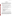## **Exhibit 1 Telephone Survey Questionnaire**

# **Survey Questionnaire**

The purpose of the survey is to learn how well we met the needs and expectations for EPA's National Network for Environmental Management Studies Program. We'd like to ask you six questions regarding your experience with program services. It should take less than five minutes, and any additional comments are welcome. If you have any questions or if additional ideas arise after the survey, you are welcome to call me back.

- 1. Please rate your satisfaction with the relevance of your NNEMS fellowship work experience to your field of study. (1 to 6, where 1 is very dissatisfied and 6 is very satisfied)
- 2. Please rate the degree to which your experience as a NNEMS fellow enabled you to decide whether to continue a career related to protecting the environment or human health. (1 to 6, where 1 is minimal influence and 6 is large influence)
- 3. a. Please rate your satisfaction with the application process for the NNEMS fellowship. (1 to 6, where 1 is very dissatisfied and 6 is very satisfied)

b. If your satisfaction rating was lower than 4, please explain any process problem(s) and provide any suggestions you may have to improve the process.

- 1. Please rate your satisfaction with the following aspects of your working with EPA. (1 to 6, where 1 is very dissatisfied and 6 is very satisfied) Staff:
	- a. provided appropriate initial guidance on project design
	- b. treated with courtesy
	- c. provided access to people and materials
	- d. enabled me to understand the mission, structure and functions of the Agency
	- e. provided sufficient periodic review to ensure timely completion of the project
	- f. answered questions accurately
	- g. provided clear guidance
	- h. were easily accessible
	- 5. Please rate the degree to which you would recommend participation in the NNEMS fellowship program to others. (1 to 6, where 1 is not at all and 6 is highly recommend)
	- 6. Do you have any suggestions for how EPA could improve the NNEMS program?

Public reporting burden for this collection of information is estimated to average five minutes per response, including the time for reviewing instructions, gathering information, and completing and reviewing the collection of information. Send comments on the Agency's need for this information, the accuracy of the provided burden estimates, and any suggestions for reducing the burden, including the use of automated collection techniques to the Director, Information Collections Division, Office of Environmental Information, United States Environmental Protection Agency (Mail Code 2822T)**,** 1200 Pennsylvania Avenue , NW, Washington, D.C. 20460; and to the Office of Information & Regulatory Affairs, Office of Management & Budget, 725 17th Street, NW, Washington, DC 20503, Attention: Desk Officer for EPA. Include the EPA ICR number and the OMB control number in any correspondence.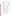## **Exhibit 2 NRMRL Feedback Cards, Evaluation Forms, Evaluation Surveys**

*CDs Response Cards* The card will contain 13 questions, on one side of the card, franking and mailing address on the other.

#### REVIEWER INFORMATION

| 1.                 | With what type of organization are you affiliated (check as may as apply)? |                                                                                                                                                                                                                                |                           |                            |                                      |                                                                                     |  |  |
|--------------------|----------------------------------------------------------------------------|--------------------------------------------------------------------------------------------------------------------------------------------------------------------------------------------------------------------------------|---------------------------|----------------------------|--------------------------------------|-------------------------------------------------------------------------------------|--|--|
|                    | a.                                                                         | Regulated facility or business<br>$\Box$                                                                                                                                                                                       |                           | е.                         | $\Box$                               | Trade association                                                                   |  |  |
|                    | b.                                                                         | $\Box$<br>Industry sector                                                                                                                                                                                                      |                           | $f_{\rm{max}}$             | $\Box$ .                             | Nonprofit organization                                                              |  |  |
|                    | c.                                                                         | Consulting company<br>$\Box$                                                                                                                                                                                                   |                           | g.                         |                                      | School or university                                                                |  |  |
|                    | d.                                                                         | $\Box$<br>Government                                                                                                                                                                                                           |                           | h.                         | $\begin{matrix} 1 \\ 1 \end{matrix}$ | Other (please specify)                                                              |  |  |
|                    |                                                                            |                                                                                                                                                                                                                                |                           |                            |                                      |                                                                                     |  |  |
| <b>OPTIONAL:</b>   |                                                                            | Job Title:                                                                                                                                                                                                                     |                           |                            |                                      |                                                                                     |  |  |
|                    |                                                                            |                                                                                                                                                                                                                                |                           |                            |                                      | Please provide your name and phone number so that we can contact you if we have any |  |  |
|                    |                                                                            | questions about your responses.                                                                                                                                                                                                |                           |                            |                                      |                                                                                     |  |  |
|                    |                                                                            |                                                                                                                                                                                                                                |                           |                            |                                      |                                                                                     |  |  |
|                    |                                                                            |                                                                                                                                                                                                                                |                           |                            |                                      |                                                                                     |  |  |
|                    |                                                                            | EFFECTIVE COMMUNICATION/CLARITY OF INFORMATION                                                                                                                                                                                 |                           |                            |                                      |                                                                                     |  |  |
|                    |                                                                            | On a scale of 1 to 6 where 1 is very dissatisfied and 6 is very satisfied please indicate your level of                                                                                                                        |                           |                            |                                      |                                                                                     |  |  |
|                    |                                                                            | satisfaction with the following                                                                                                                                                                                                |                           |                            |                                      |                                                                                     |  |  |
| <b>Readability</b> |                                                                            |                                                                                                                                                                                                                                |                           |                            |                                      |                                                                                     |  |  |
| 2.                 | a.                                                                         | Readability (i.e., flow, writing style, and presentation of concepts) of the CD content?                                                                                                                                       |                           |                            |                                      |                                                                                     |  |  |
|                    |                                                                            | $\square$ 6 Very satisfied                                                                                                                                                                                                     | □ 3 Somewhat dissatisfied |                            |                                      |                                                                                     |  |  |
|                    |                                                                            | $\square$ 5 Satisfied                                                                                                                                                                                                          |                           | $\Box$ 2 Dissatisfied      |                                      |                                                                                     |  |  |
|                    |                                                                            | $\square$ 4 Somewhat satisfied                                                                                                                                                                                                 |                           | □ 1 Very dissatisfied      |                                      |                                                                                     |  |  |
|                    |                                                                            | $\Box$ Don't know                                                                                                                                                                                                              |                           |                            |                                      |                                                                                     |  |  |
|                    | b.                                                                         |                                                                                                                                                                                                                                |                           |                            |                                      |                                                                                     |  |  |
|                    |                                                                            |                                                                                                                                                                                                                                |                           |                            |                                      |                                                                                     |  |  |
| 3.                 | a.                                                                         | Understandability of the CD content (i.e., the ability of the CD to convey the information                                                                                                                                     |                           |                            |                                      |                                                                                     |  |  |
|                    |                                                                            | in a way that is easy to grasp and comprehend)?                                                                                                                                                                                |                           |                            |                                      |                                                                                     |  |  |
|                    |                                                                            | $\square$ 6 Very satisfied $\square$ 3 Somewhat dissatisfied                                                                                                                                                                   |                           |                            |                                      |                                                                                     |  |  |
|                    |                                                                            | $\square$ 5 Satisfied                                                                                                                                                                                                          |                           | $\square$ 2 Dissatisfied   |                                      |                                                                                     |  |  |
|                    |                                                                            | □ 4 Somewhat satisfied □ 1 Very dissatisfied                                                                                                                                                                                   |                           |                            |                                      |                                                                                     |  |  |
|                    |                                                                            | $\Box$ Don't know                                                                                                                                                                                                              |                           |                            |                                      |                                                                                     |  |  |
|                    | b.                                                                         | COMMENT:                                                                                                                                                                                                                       |                           |                            |                                      |                                                                                     |  |  |
|                    |                                                                            |                                                                                                                                                                                                                                |                           |                            |                                      |                                                                                     |  |  |
| 4.                 | a.                                                                         | Format (attractiveness, use of graphics) of this CD?                                                                                                                                                                           |                           |                            |                                      |                                                                                     |  |  |
|                    |                                                                            | $\Box$ 6 Very satisfied $\Box$ 3 Somewhat dissatisfied                                                                                                                                                                         |                           |                            |                                      |                                                                                     |  |  |
|                    |                                                                            | $\square$ 5 Satisfied<br>□ 4 Somewhat satisfied □ 1 Very dissatisfied                                                                                                                                                          |                           | $\Box$ 2 Dissatisfied      |                                      |                                                                                     |  |  |
|                    |                                                                            | □ Don't know                                                                                                                                                                                                                   |                           |                            |                                      |                                                                                     |  |  |
|                    | b.                                                                         | COMMENT: The community of the community of the community of the community of the community of the community of the community of the community of the community of the community of the community of the community of the commu |                           |                            |                                      |                                                                                     |  |  |
|                    |                                                                            |                                                                                                                                                                                                                                |                           |                            |                                      |                                                                                     |  |  |
| <b>Content</b>     |                                                                            |                                                                                                                                                                                                                                |                           |                            |                                      |                                                                                     |  |  |
| 5.                 | a.                                                                         | How satisfied are you that this CD met its stated objectives?                                                                                                                                                                  |                           |                            |                                      |                                                                                     |  |  |
|                    |                                                                            | $\square$ 6 Very satisfied                                                                                                                                                                                                     |                           | □ 3 Somewhat dissatisfied  |                                      |                                                                                     |  |  |
|                    |                                                                            | $\square$ 5 Satisfied                                                                                                                                                                                                          |                           | $\Box$ 2 Dissatisfied      |                                      |                                                                                     |  |  |
|                    |                                                                            | $\square$ 4 Somewhat satisfied                                                                                                                                                                                                 |                           | $\Box$ 1 Very dissatisfied |                                      |                                                                                     |  |  |
|                    |                                                                            | □ Don't know                                                                                                                                                                                                                   |                           |                            |                                      |                                                                                     |  |  |
|                    | b.                                                                         | COMMENT:                                                                                                                                                                                                                       |                           |                            |                                      |                                                                                     |  |  |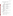6. Please rate the CD as to how informative *(i.e., instructive)* the discussions within each of the sections are, with  $6 = \text{Very informative and } 1 = \text{Not informative}$ 

|          | Section | Not<br>Very<br>Informative Informative                                                                                           | Comment                                                                               |
|----------|---------|----------------------------------------------------------------------------------------------------------------------------------|---------------------------------------------------------------------------------------|
| а.       |         | 654321                                                                                                                           |                                                                                       |
| b.       |         | 654321                                                                                                                           |                                                                                       |
| c.       |         | 654321                                                                                                                           |                                                                                       |
| d.       |         | 654321<br>654321                                                                                                                 |                                                                                       |
| е.<br>f. |         | 6 5 4 3 2 1                                                                                                                      |                                                                                       |
| 7.       | a.      | regarding the subject matter) included in the CD?<br>□ 6 Very satisfied<br>□ 5 Satisfied<br>□ 2 Dissatisfied<br>□ 2 Dissatisfied | How satisfied are you with the accuracy of the technical information (knowledge       |
|          |         | □ 4 Somewhat satisfied □ 1 Very dissatisfied                                                                                     | D 2 Dissatisfied                                                                      |
|          |         | $\square$ Don't know                                                                                                             |                                                                                       |
|          |         | <b>Organization and Clarity</b>                                                                                                  |                                                                                       |
| 8.       | a.      | $\Box$ 6 Very satisfied $\Box$ 3 Somewhat dissatisfied                                                                           | How satisfied are you with the organization (presented in a logical order) of the CD? |
|          |         | $\square$ 5 Satisfied                                                                                                            | $\square$ 2 Dissatisfied                                                              |
|          |         | $\Box$ 4 Somewhat satisfied $\Box$ 1 Very dissatisfied                                                                           |                                                                                       |
|          | b.      | $\Box$ Don't know                                                                                                                |                                                                                       |
| 9.       | a.      |                                                                                                                                  | How clearly (plain and evident) is information communicated in this CD?               |
|          |         | $\square$ 6 Very clearly                                                                                                         | □ 3 Somewhat unclearly                                                                |
|          |         | $\square$ 5 Clearly                                                                                                              | $\square$ 2 Unclearly                                                                 |
|          | b.      | $\Box$ 4 Somewhat clearly $\Box$ 1 Very unclearly<br>□ Don't know                                                                |                                                                                       |
|          |         |                                                                                                                                  |                                                                                       |
|          |         | <b>Graphics (Figures, Tables and Pictures)</b>                                                                                   |                                                                                       |
| 10.      | a.      | presented on the CD?                                                                                                             | How much did the graphics contribute to your overall understanding of the material    |
|          |         | $\Box$ Very much                                                                                                                 | $\Box$ A little                                                                       |
|          | b.      | □ Somewhat                                                                                                                       | $\Box$ Not at all                                                                     |
|          |         | <b>Other Recommendations:</b>                                                                                                    |                                                                                       |
| 11.      |         | We welcome any other comments you have about this CD.                                                                            |                                                                                       |
|          |         |                                                                                                                                  |                                                                                       |
|          |         |                                                                                                                                  |                                                                                       |
| 12.      | a.      | Do you expect to refer to the information from this CD again?<br>$\square$ Yes                                                   | $\square$ No                                                                          |
|          | b.      |                                                                                                                                  |                                                                                       |
| 13.      | a.      | Would you recommend this CD to others?<br>$\square$ Yes                                                                          |                                                                                       |
|          | b.      |                                                                                                                                  | $\square$ No                                                                          |
|          |         |                                                                                                                                  |                                                                                       |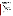Public reporting burden for this collection of information is estimated to average four minutes per response, including the time for reviewing instructions, gathering information, and completing and reviewing the collection of information. Send comments on the Agency's need for this information, the accuracy of the provided burden estimates, and any suggestions for reducing the burden, including the use of automated collection techniques to the Director, Information Collections Division, Office of Environmental Information, United States Environmental Protection Agency (Mail Code 2822T)**,** 1200 Pennsylvania Avenue , NW, Washington, D.C. 20460; and to the Office of Information & Regulatory Affairs, Office of Management & Budget, 725 17th Street, NW, Washington, DC 20503, Attention: Desk Officer for EPA. Include the EPA ICR number and the OMB control number in any correspondence.

OMB #2090-0019 Expires 3/31/06

*Documents Response Cards* The card will contain 13 questions, on one side of the card, with franking and mailing address on the other.

#### REVIEWER INFORMATION

1. With what type of organization are you affiliated (check as may as apply)?

| а.<br>b.         |   | Regulated facility or business<br>Industry sector                                                 | е. | Trade association<br>Nonprofit organization |
|------------------|---|---------------------------------------------------------------------------------------------------|----|---------------------------------------------|
| c.               | ப | Consulting company                                                                                | g. | School or university                        |
| d.               |   | Government                                                                                        |    | Other (please<br>specify) specify           |
| <b>OPTIONAL:</b> |   | Job Title:<br>Please provide your name and phone number so that we can contact you if we have any |    |                                             |

questions about your responses.

#### EFFECTIVE COMMUNICATION/CLARITY OF INFORMATION

*On a scale of 1 to 6 where 1 is very dissatisfied and 6 is very satisfied please indicate your level of satisfaction with the following* 

| a. | Readability (i.e., flow, writing style, and presentation of concepts) of the document?                                                                                                                                         |                                                                                                                                                                  |  |  |  |
|----|--------------------------------------------------------------------------------------------------------------------------------------------------------------------------------------------------------------------------------|------------------------------------------------------------------------------------------------------------------------------------------------------------------|--|--|--|
|    |                                                                                                                                                                                                                                | $\square$ 3 Somewhat dissatisfied                                                                                                                                |  |  |  |
|    | $\square$ 5 Satisfied                                                                                                                                                                                                          | $\square$ 2 Dissatisfied                                                                                                                                         |  |  |  |
|    | $\Box$ 4 Somewhat satisfied $\Box$ 1 Very dissatisfied                                                                                                                                                                         |                                                                                                                                                                  |  |  |  |
|    | $\Box$ Don't know                                                                                                                                                                                                              |                                                                                                                                                                  |  |  |  |
| b. | COMMENT: the community of the community of the community of the community of the community of the community of the community of the community of the community of the community of the community of the community of the commu |                                                                                                                                                                  |  |  |  |
| a. |                                                                                                                                                                                                                                | Understandability of the document content ( <i>i.e., the ability of the product to convey the</i>                                                                |  |  |  |
|    | information in a way that is easy to grasp and comprehend)?                                                                                                                                                                    |                                                                                                                                                                  |  |  |  |
|    | $\Box$ 6 Very satisfied $\Box$ 3 Somewhat dissatisfied                                                                                                                                                                         |                                                                                                                                                                  |  |  |  |
|    | $\square$ 5 Satisfied                                                                                                                                                                                                          | ■ D 2 Dissatisfied                                                                                                                                               |  |  |  |
|    |                                                                                                                                                                                                                                |                                                                                                                                                                  |  |  |  |
|    | $\Box$ Don't know                                                                                                                                                                                                              |                                                                                                                                                                  |  |  |  |
| b. | COMMENT:                                                                                                                                                                                                                       |                                                                                                                                                                  |  |  |  |
| a. | Format (attractiveness, use of graphics) of this document?                                                                                                                                                                     |                                                                                                                                                                  |  |  |  |
|    | $\Box$ 6 Very satisfied                                                                                                                                                                                                        | □ 3 Somewhat dissatisfied                                                                                                                                        |  |  |  |
|    | $\square$ 5 Satisfied                                                                                                                                                                                                          | □ 2 Dissatisfied                                                                                                                                                 |  |  |  |
|    |                                                                                                                                                                                                                                |                                                                                                                                                                  |  |  |  |
|    | $\Box$ Don't know                                                                                                                                                                                                              |                                                                                                                                                                  |  |  |  |
|    |                                                                                                                                                                                                                                |                                                                                                                                                                  |  |  |  |
|    |                                                                                                                                                                                                                                | $\square$ 6 Very satisfied<br>$\Box$ 4 Somewhat satisfied $\Box$ 1 Very dissatisfied<br>$\Box$ 4 Somewhat satisfied $\Box$ 1 Very dissatisfied<br>COMMENT:<br>b. |  |  |  |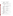| <b>Content</b>                         |          |                                                                                                                                                                                                                 |                                                                                                                                                                                                                                |
|----------------------------------------|----------|-----------------------------------------------------------------------------------------------------------------------------------------------------------------------------------------------------------------|--------------------------------------------------------------------------------------------------------------------------------------------------------------------------------------------------------------------------------|
| 5.                                     | a.<br>b. | $\square$ 6 Very satisfied<br>$\square$ 5 Satisfied<br>□ 4 Somewhat satisfied □ 1 Very dissatisfied<br>$\Box$ Don't know                                                                                        | How satisfied are you that this document met its stated objectives?<br>□ 3 Somewhat dissatisfied<br>$\square$ 2 Dissatisfied                                                                                                   |
|                                        |          |                                                                                                                                                                                                                 |                                                                                                                                                                                                                                |
| 6.<br>a.<br>b.<br>c.<br>d.<br>е.<br>f. | Section  | the sections are, with $6 = V$ ery informative and $1 = Not$ informative<br>Not<br>Very<br>Informative<br>Informative<br>6 5 4 3 2 1<br>6 5 4 3 2 1<br>6 5 4 3 2 1<br>6 5 4 3 2 1<br>6 5 4 3 2 1<br>6 5 4 3 2 1 | Please rate the document as to how informative (i.e., instructive) the discussions within each of<br>Comment                                                                                                                   |
| 7.                                     |          | subject matter) included in the document?<br>ロ6Very satisfied<br>ロ5Satisfied<br>$\square$ 5 Satisfied<br>$\square$ 4 Somewhat satisfied<br>$\Box$ Don't know                                                    | a. How satisfied are you with the accuracy of the technical information (knowledge regarding the<br>□ 3 Somewhat dissatisfied<br>$\square$ 2 Dissatisfied<br>□ 1 Very dissatisfied                                             |
|                                        | b.       |                                                                                                                                                                                                                 | COMMENT: The community of the community of the community of the community of the community of the community of the community of the community of the community of the community of the community of the community of the commu |
|                                        |          |                                                                                                                                                                                                                 |                                                                                                                                                                                                                                |
| 8.                                     | a.       | <b>Organization and Clarity</b><br>document?                                                                                                                                                                    | How satisfied are you with the organization (presented in a logical order) of the                                                                                                                                              |
|                                        |          | $\square$ 6 Very satisfied                                                                                                                                                                                      | $\square$ 3 Somewhat dissatisfied                                                                                                                                                                                              |
|                                        |          | $\square$ 5 Satisfied                                                                                                                                                                                           | $\Box$ 2 Dissatisfied                                                                                                                                                                                                          |
|                                        |          | $\square$ 4 Somewhat satisfied                                                                                                                                                                                  | $\Box$ 1 Very dissatisfied                                                                                                                                                                                                     |
|                                        |          | $\Box$ Don't know                                                                                                                                                                                               |                                                                                                                                                                                                                                |
|                                        | b.       |                                                                                                                                                                                                                 |                                                                                                                                                                                                                                |
| 9.                                     | a.       | $\square$ 6 Very clearly<br>$\square$ 5 Clearly                                                                                                                                                                 | How clearly (plain and evident) is information communicated in this document?<br>$\square$ 3 Somewhat unclearly<br>$\square$ 2 Unclearly                                                                                       |
|                                        |          | $\square$ 4 Somewhat clearly<br>□ Don't know                                                                                                                                                                    | $\Box$ 1 Very unclearly                                                                                                                                                                                                        |
|                                        | b.       | <b>COMMENT:</b>                                                                                                                                                                                                 |                                                                                                                                                                                                                                |
|                                        |          |                                                                                                                                                                                                                 |                                                                                                                                                                                                                                |
|                                        |          | <b>Graphics (Figures, Tables, and Pictures)</b>                                                                                                                                                                 |                                                                                                                                                                                                                                |
| 10.                                    | a.       |                                                                                                                                                                                                                 | How much did the graphics contribute to your overall understanding of the material                                                                                                                                             |
|                                        |          | presented in the document?                                                                                                                                                                                      |                                                                                                                                                                                                                                |
|                                        |          | □ Very much<br>□ Somewhat                                                                                                                                                                                       | $\Box$ A little                                                                                                                                                                                                                |
|                                        | b.       | <b>COMMENT:</b>                                                                                                                                                                                                 | $\Box$ Not at all                                                                                                                                                                                                              |

# **Other Recommendations:**<br>11. We welcome any o

We welcome any other comments you have about this document.

\_\_\_\_\_\_\_\_\_\_\_\_\_\_\_\_\_\_\_\_\_\_\_\_\_\_\_\_\_\_\_\_\_\_\_\_\_\_\_\_\_\_\_\_\_\_\_\_\_\_\_\_\_\_\_\_\_\_\_\_\_\_\_\_\_\_\_\_\_\_

 $\mathcal{L}_\text{max} = \frac{1}{2} \sum_{i=1}^{n} \frac{1}{2} \sum_{i=1}^{n} \frac{1}{2} \sum_{i=1}^{n} \frac{1}{2} \sum_{i=1}^{n} \frac{1}{2} \sum_{i=1}^{n} \frac{1}{2} \sum_{i=1}^{n} \frac{1}{2} \sum_{i=1}^{n} \frac{1}{2} \sum_{i=1}^{n} \frac{1}{2} \sum_{i=1}^{n} \frac{1}{2} \sum_{i=1}^{n} \frac{1}{2} \sum_{i=1}^{n} \frac{1}{2} \sum_{i=1}^{n} \frac{1$  $\mathcal{L} = \{ \mathcal{L} = \{ \mathcal{L} = \{ \mathcal{L} = \mathcal{L} \} \mid \mathcal{L} = \{ \mathcal{L} = \{ \mathcal{L} = \mathcal{L} \} \mid \mathcal{L} = \{ \mathcal{L} = \{ \mathcal{L} = \mathcal{L} = \mathcal{L} = \{ \mathcal{L} = \mathcal{L} = \mathcal{L} = \mathcal{L} = \mathcal{L} = \mathcal{L} \} \mid \mathcal{L} = \{ \mathcal{L} = \{ \mathcal{L} = \mathcal{L} = \mathcal{L} = \mathcal{L} = \{ \mathcal{L} =$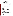| 12. | а. | Do you expect to refer to the information from this document again? |  |
|-----|----|---------------------------------------------------------------------|--|
|     |    | $\Box$ Yes<br>□ No                                                  |  |
|     | b. | Why or why not?                                                     |  |
| 13  | a. | Would you recommend this document to others?                        |  |
|     |    | $\Box$ Yes<br>□ No                                                  |  |
|     | b. | Why or why not?                                                     |  |

Public reporting burden for this collection of information is estimated to average four minutes per response, including the time for reviewing instructions, gathering information, and completing and reviewing the collection of information. Send comments on the Agency's need for this information, the accuracy of the provided burden estimates, and any suggestions for reducing the burden, including the use of automated collection techniques to the Director, Information Collections Division, Office of Environmental Information, United States Environmental Protection Agency (Mail Code 2822T)**,** 1200 Pennsylvania Avenue , NW, Washington, D.C. 20460; and to the Office of Information & Regulatory Affairs, Office of Management & Budget, 725 17th Street, NW, Washington, DC 20503, Attention: Desk Officer for EPA. Include the EPA ICR number and the OMB control number in any correspondence.

OMB #2090-0019 Expires 3/31/06

The *Focus Group Evaluation Responses*. The forms contain 8 questions and will be collected by facilitators who carry out the Focus Work, during the focus group meeting. Focus groups, in this context, are gathered to evaluate directly, one or another of ORD's technology transfer products.

The facilitator will present the product, for example a document or brochure, or guidance manual, to the group, giving them time to read it or look at it in some detail. Some brief discussion may be held in terms of the intended audience or motivation for the production of the product. The facilitator will not give an opinion of the product or its content, but may answer questions about its probable audience and use.

Then the facilitator will ask the group to fill out the questionnaire. The intent of the process is to get first hand responses to the product, with an eye to improving it and future similar products. For this reason, the group will be as diverse in background as the setting allows. Larger National meetings will offer the most diversity.

#### SECTION I: REVIEWER INFORMATION

| 1. | With what type of organization are you affiliated (check as may as apply)? |   |                                |    |  |                           |  |  |
|----|----------------------------------------------------------------------------|---|--------------------------------|----|--|---------------------------|--|--|
|    | а.                                                                         |   | Regulated facility or business | е. |  | Trade association         |  |  |
|    | 2.                                                                         | □ | Industry sector                |    |  | Nonprofit organization    |  |  |
|    | 3.                                                                         | □ | Consulting company             | g. |  | School or university      |  |  |
|    | 4.                                                                         | п | Government                     | h. |  | Other (please<br>specify) |  |  |

#### **OPTIONAL:** Job Title: Please provide your name and phone number so that we can contact you if we have any questions about your responses.

SECTION II: EFFECTIVE COMMUNICATION/CLARITY OF INFORMATION *On a scale of 1 to 6 where 1 is very dissatisfied and 6 is very satisfied please indicate your level of satisfaction with the following* 

#### *Content*

| 2. | а. |                             | How satisfied are you that this Focus Group met its stated objectives? |
|----|----|-----------------------------|------------------------------------------------------------------------|
|    |    | $\Box$ 6 Very satisfied     | $\square$ 3 Somewhat dissatisfied                                      |
|    |    | $\square$ 5 Satisfied       | $\Box$ 2 Dissatisfied                                                  |
|    |    | $\Box$ 4 Somewhat satisfied | $\Box$ 1 Very dissatisfied                                             |
|    |    | $\Box$ Don't know           |                                                                        |

b. COMMENT: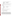- 3. a. How satisfied are you with the accuracy of the **technical information** (*knowledge regarding* the *subject matter*) included in the **Focus Group**?
	- 6 Very satisfied 3 Somewhat dissatisfied 5 Satisfied 2 Dissatisfied  $\Box$  4 Somewhat satisfied  $\Box$  1 Very dissatisfied □ Don't know b. COMMENT:
		-
- 4. Is there information that *should not have been* included in this **focus group**? If so, please specify.
- 5. Is there additional information that *should be* included in this focus group but was not? If so, please specify?

\_\_\_\_\_\_\_\_\_\_\_\_\_\_\_\_\_\_\_\_\_\_\_\_\_\_\_\_\_\_\_\_\_\_\_\_\_\_\_\_\_\_\_\_\_\_\_\_\_\_\_\_\_\_\_\_\_\_\_\_\_\_\_\_

\_\_\_\_\_\_\_\_\_\_\_\_\_\_\_\_\_\_\_\_\_\_\_\_\_\_\_\_\_\_\_\_\_\_\_\_\_\_\_\_\_\_\_\_\_\_\_\_\_\_\_\_\_\_\_\_\_\_\_\_\_\_\_\_

#### *Organization and Clarity*

- 6. a. How satisfied are you with the organization (*presented in a logical order*) of the **focus group**?
	- $\Box$  4 Somewhat satisfied  $\Box$  1 Very dissatisfied Don't know
	- $\Box$  6 Very satisfied  $\Box$  3 Somewhat dissatisfied  $\Box$  5 Satisfied  $\Box$  2 Dissatisfied  $\square$  2 Dissatisfied

\_\_\_\_\_\_\_\_\_\_\_\_\_\_\_\_\_\_\_\_\_\_\_\_\_\_\_\_\_\_\_\_\_\_\_\_\_\_\_\_\_\_\_\_\_\_\_\_\_\_\_\_\_\_\_\_\_\_\_\_\_\_\_ \_\_\_\_\_\_\_\_\_\_\_\_\_\_\_\_\_\_\_\_\_\_\_\_\_\_\_\_\_\_\_\_\_\_\_\_\_\_\_\_\_\_\_\_\_\_\_\_\_\_\_\_\_\_\_\_\_\_\_\_\_\_\_

 $\overline{\phantom{a}}$  , and the contribution of the contribution of the contribution of the contribution of the contribution of the contribution of the contribution of the contribution of the contribution of the contribution of the

 $\mathcal{L}_\text{max} = \frac{1}{2} \sum_{i=1}^{n} \frac{1}{2} \sum_{i=1}^{n} \frac{1}{2} \sum_{i=1}^{n} \frac{1}{2} \sum_{i=1}^{n} \frac{1}{2} \sum_{i=1}^{n} \frac{1}{2} \sum_{i=1}^{n} \frac{1}{2} \sum_{i=1}^{n} \frac{1}{2} \sum_{i=1}^{n} \frac{1}{2} \sum_{i=1}^{n} \frac{1}{2} \sum_{i=1}^{n} \frac{1}{2} \sum_{i=1}^{n} \frac{1}{2} \sum_{i=1}^{n} \frac{1$  $\mathcal{L} = \{ \mathcal{L} = \{ \mathcal{L} = \{ \mathcal{L} = \mathcal{L} \} \mid \mathcal{L} = \{ \mathcal{L} = \{ \mathcal{L} = \mathcal{L} \} \mid \mathcal{L} = \{ \mathcal{L} = \{ \mathcal{L} = \mathcal{L} = \mathcal{L} = \{ \mathcal{L} = \mathcal{L} = \mathcal{L} = \mathcal{L} = \mathcal{L} = \mathcal{L} \} \mid \mathcal{L} = \{ \mathcal{L} = \{ \mathcal{L} = \mathcal{L} = \mathcal{L} = \mathcal{L} = \{ \mathcal{L} =$ 

b. COMMENT:

#### *Other Recommendations:*

7. We welcome any other comments you have about this **focus group**.

#### SECTION III: **USEFULNESS OF THE FOCUS GROUP**

8. a. Would you recommend this **kind of focus group** to others?

 $\square$  Yes  $\square$  No

b. Why or why not?

Public reporting burden for this collection of information is estimated to average four minutes per response, including the time for reviewing instructions, gathering information, and completing and reviewing the collection of information. Send comments on the Agency's need for this information, the accuracy of the provided burden estimates, and any suggestions for reducing the burden, including the use of automated collection techniques to the Director, Information Collections Division, Office of Environmental Information, United States Environmental Protection Agency (Mail Code 2822T)**,** 1200 Pennsylvania Avenue , NW, Washington, D.C. 20460; and to the Office of Information & Regulatory Affairs, Office of Management & Budget, 725 17th Street, NW, Washington, DC 20503, Attention: Desk Officer for EPA. Include the EPA ICR number and the OMB control number in any correspondence.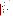*Meeting Evaluation Forms* will be given to each meeting attendee in their handout materials and collected on their way out of the meeting or sessions. The form contains 11 questions.

| SECTION I:         |                                 |                       | <b>REVIEWER INFORMATION</b>                                                                                                               |                                                       |    |        |                        |
|--------------------|---------------------------------|-----------------------|-------------------------------------------------------------------------------------------------------------------------------------------|-------------------------------------------------------|----|--------|------------------------|
| 1.                 | a.                              | □                     | With what type of organization are you affiliated (check as may as apply)?<br>Regulated facility or business                              |                                                       | е. | □      | Trade association      |
|                    | 5.                              | $\Box$                | Industry sector                                                                                                                           |                                                       | f. | $\Box$ | Nonprofit organization |
|                    | 6.                              | $\Box$                | Consulting company                                                                                                                        |                                                       | g. | $\Box$ | School or university   |
|                    | 7.                              | $\Box$                | Government                                                                                                                                |                                                       | h. | $\Box$ | Other (please          |
|                    |                                 |                       |                                                                                                                                           |                                                       |    |        |                        |
|                    |                                 | <b>OPTIONAL:</b>      |                                                                                                                                           |                                                       |    |        |                        |
|                    |                                 |                       | Please provide your name and phone number so that we can contact you if we have any<br>questions about your responses.                    |                                                       |    |        |                        |
|                    |                                 |                       |                                                                                                                                           |                                                       |    |        |                        |
|                    |                                 |                       | SECTION II: EFFECTIVE COMMUNICATION/CLARITY OF INFORMATION                                                                                |                                                       |    |        |                        |
|                    |                                 |                       | On a scale of 1 to 6 where 1 is very dissatisfied and 6 is very satisfied please indicate your level of                                   |                                                       |    |        |                        |
|                    | satisfaction with the following |                       |                                                                                                                                           |                                                       |    |        |                        |
| <b>Readability</b> |                                 |                       |                                                                                                                                           |                                                       |    |        |                        |
| 2.                 |                                 |                       | a. Readability (i.e., flow, writing style, and presentation of concepts) of the Meeting Handout                                           |                                                       |    |        |                        |
|                    |                                 | Materials?            |                                                                                                                                           |                                                       |    |        |                        |
|                    |                                 |                       | $\square$ 6 Very satisfied                                                                                                                | □ 3 Somewhat dissatisfied                             |    |        |                        |
|                    |                                 | $\square$ 5 Satisfied |                                                                                                                                           | $\square$ 2 Dissatisfied                              |    |        |                        |
|                    |                                 |                       | $\square$ 4 Somewhat satisfied<br>□ Don't know                                                                                            | $\Box$ 1 Very dissatisfied                            |    |        |                        |
|                    | b.                              |                       |                                                                                                                                           |                                                       |    |        |                        |
| 3.                 |                                 |                       | How satisfied are you that this Meeting met its stated objectives?                                                                        |                                                       |    |        |                        |
|                    | a.                              |                       | $\Box$ 6 Very satisfied<br>$\Box$ 5 Setisfied                                                                                             | □ 3 Somewhat dissatisfied                             |    |        |                        |
|                    |                                 | $\square$ 5 Satisfied |                                                                                                                                           | $\square$ 2 Dissatisfied                              |    |        |                        |
|                    |                                 |                       | $\square$ 4 Somewhat satisfied                                                                                                            | □ 1 Very dissatisfied                                 |    |        |                        |
|                    |                                 |                       | □ Don't know                                                                                                                              |                                                       |    |        |                        |
|                    | b.                              |                       |                                                                                                                                           |                                                       |    |        |                        |
| <b>Content</b>     |                                 |                       |                                                                                                                                           |                                                       |    |        |                        |
| 4.                 | a.                              |                       | How satisfied are you with the accuracy of the technical information (knowledge<br>regarding the subject matter) included in the Meeting? |                                                       |    |        |                        |
|                    |                                 |                       | $\square$ 6 Very satisfied                                                                                                                | □ 3 Somewhat dissatisfied                             |    |        |                        |
|                    |                                 | $\square$ 5 Satisfied |                                                                                                                                           | $\square$ 2 Dissatisfied                              |    |        |                        |
|                    |                                 |                       | $\square$ 4 Somewhat satisfied                                                                                                            | $\square$ 1 Very dissatisfied                         |    |        |                        |
|                    |                                 |                       | □ Don't know                                                                                                                              |                                                       |    |        |                        |
|                    | b.                              |                       |                                                                                                                                           |                                                       |    |        |                        |
|                    | <b>Organization and Clarity</b> |                       |                                                                                                                                           |                                                       |    |        |                        |
| 5.                 |                                 |                       | a. How satisfied are you with the organization (presented in a logical order) of the Meeting?                                             |                                                       |    |        |                        |
|                    |                                 | $\square$ 5 Satisfied | $\square$ 6 Very satisfied                                                                                                                | □ 3 Somewhat dissatisfied<br>$\square$ 2 Dissatisfied |    |        |                        |
|                    |                                 |                       | $\square$ 4 Somewhat satisfied                                                                                                            | $\square$ 1 Very dissatisfied                         |    |        |                        |
|                    |                                 |                       | □ Don't know                                                                                                                              |                                                       |    |        |                        |

b. COMMENT: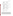6. a. How clearly *(plain and evident)* is information communicated in this Meeting?

|    | $\Box$ 6 Very clearly     | $\square$ 3 Somewhat unclearly |
|----|---------------------------|--------------------------------|
|    | $\square$ 5 Clearly       | $\square$ 2 Unclearly          |
|    | $\Box$ 4 Somewhat clearly | $\Box$ 1 Very unclearly        |
|    | $\square$ Don't know      |                                |
| b. | COMMENT:                  |                                |

\_\_\_\_\_\_\_\_\_\_\_\_\_\_\_\_\_\_\_\_\_\_\_\_\_\_\_\_\_\_\_\_\_\_\_\_\_\_\_\_\_\_\_\_\_\_\_\_\_\_\_\_\_\_\_\_\_\_\_\_\_\_\_\_\_\_\_\_\_\_  $\mathcal{L}_\text{max} = \frac{1}{2} \sum_{i=1}^{n} \frac{1}{2} \sum_{i=1}^{n} \frac{1}{2} \sum_{i=1}^{n} \frac{1}{2} \sum_{i=1}^{n} \frac{1}{2} \sum_{i=1}^{n} \frac{1}{2} \sum_{i=1}^{n} \frac{1}{2} \sum_{i=1}^{n} \frac{1}{2} \sum_{i=1}^{n} \frac{1}{2} \sum_{i=1}^{n} \frac{1}{2} \sum_{i=1}^{n} \frac{1}{2} \sum_{i=1}^{n} \frac{1}{2} \sum_{i=1}^{n} \frac{1$ 

#### SECTION III: **AWARENESS AND UNDERSTANDING**

8. a. How satisfied are you that this Meeting meets your need for information about the issue/subject matter?

 $\mathcal{L} = \{ \mathcal{L} = \{ \mathcal{L} = \{ \mathcal{L} = \mathcal{L} \} \mid \mathcal{L} = \{ \mathcal{L} = \{ \mathcal{L} = \mathcal{L} \} \mid \mathcal{L} = \{ \mathcal{L} = \{ \mathcal{L} = \mathcal{L} = \mathcal{L} = \{ \mathcal{L} = \mathcal{L} = \mathcal{L} = \mathcal{L} = \mathcal{L} = \mathcal{L} \} \mid \mathcal{L} = \{ \mathcal{L} = \{ \mathcal{L} = \mathcal{L} = \mathcal{L} = \mathcal{L} = \{ \mathcal{L} =$ 

- 6 Very satisfied 3 Somewhat dissatisfied 5 Satisfied 2 Dissatisfied  $\Box$  4 Somewhat satisfied  $\Box$  1 Very dissatisfied □ Don't know b. COMMENT: 9. a. How satisfied are you that the information presented in this Meeting increased your awareness of the issue/subject matter? 6 Very satisfied 3 Somewhat dissatisfied 5 Satisfied 2 Dissatisfied  $\Box$  4 Somewhat satisfied  $\Box$  1 Very dissatisfied □ Don't know b. COMMENT:
- 10. a. Do you expect to refer to the information from this Meeting again?

|     |    | $\square$ Yes                               | $\square$ No |  |  |
|-----|----|---------------------------------------------|--------------|--|--|
|     | b. |                                             |              |  |  |
| 11. | a. | Would you recommend this Meeting to others? |              |  |  |
|     |    | $\square$ Yes                               | $\square$ No |  |  |
|     | b. | Why or why not?                             |              |  |  |

Public reporting burden for this collection of information is estimated to average four minutes per response, including the time for reviewing instructions, gathering information, and completing and reviewing the collection of information. Send comments on the Agency's need for this information, the accuracy of the provided burden estimates, and any suggestions for reducing the burden, including the use of automated collection techniques to the Director, Information Collections Division, Office of Environmental Information, United States Environmental Protection Agency (Mail Code 2822T)**,** 1200 Pennsylvania Avenue , NW, Washington, D.C. 20460; and to the Office of Information & Regulatory Affairs, Office of Management & Budget, 725 17th Street, NW, Washington, DC 20503, Attention: Desk Officer for EPA. Include the EPA ICR number and the OMB control number in any correspondence.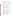*Reviewer Forms* are included with the other forms sent to a document reviewer. They will be pre-franked and addressed for return to USEPA. The form contains 10 questions.

|  |  |  |  | With what type of organization are you affiliated (check as may as apply)? |
|--|--|--|--|----------------------------------------------------------------------------|
|--|--|--|--|----------------------------------------------------------------------------|

| a.  | Regulated facility or business | е. | Trade association      |
|-----|--------------------------------|----|------------------------|
| 8.  | Industry sector                |    | Nonprofit organization |
| 9.  | Consulting company             | g. | School or university   |
| 10. | Government                     |    | Other (please)         |
|     |                                |    | specify)               |
|     |                                |    |                        |

#### SECTION II: EFFECTIVE COMMUNICATION/CLARITY OF INFORMATION

*On a scale of 1 to 6 where 1 is very dissatisfied and 6 is very satisfied please indicate your level of satisfaction with the following* 

| <b>Readability</b> |          |                                                                                                                                                                                                                                                                                                                                                                              |                                                                                                                                                                                                                                                                                                                                                                                                                                           |
|--------------------|----------|------------------------------------------------------------------------------------------------------------------------------------------------------------------------------------------------------------------------------------------------------------------------------------------------------------------------------------------------------------------------------|-------------------------------------------------------------------------------------------------------------------------------------------------------------------------------------------------------------------------------------------------------------------------------------------------------------------------------------------------------------------------------------------------------------------------------------------|
| 2.                 | a.<br>b. | reviewed?<br>$\square$ 6 Very satisfied<br>$\square$ 5 Satisfied<br>$\Box$ 4 Somewhat satisfied $\Box$ 1 Very dissatisfied<br>□ Don't know<br>COMMENT: The community of the community of the community of the community of the community of the community of the community of the community of the community of the community of the community of the community of the commu | Readability (i.e., flow, writing style, and presentation of concepts) of the product you<br>□ 3 Somewhat dissatisfied<br>$\square$ 2 Dissatisfied                                                                                                                                                                                                                                                                                         |
| 3.                 | a.<br>b. | information in a way that is easy to grasp and comprehend)?<br>$\square$ 6 Very satisfied<br>$\square$ 5 Satisfied<br>□ 4 Somewhat satisfied □ 1 Very dissatisfied<br>□ Don't know                                                                                                                                                                                           | Understandability of the product you reviewed (i.e., the ability of the product to convey the<br>□ 3 Somewhat dissatisfied<br>$\square$ 2 Dissatisfied                                                                                                                                                                                                                                                                                    |
| <b>Content</b>     |          |                                                                                                                                                                                                                                                                                                                                                                              |                                                                                                                                                                                                                                                                                                                                                                                                                                           |
| 4.                 | a.<br>b. | $\square$ 6 Very satisfied<br>$\square$ 5 Satisfied<br>□ 4 Somewhat satisfied □ 1 Very dissatisfied<br>$\Box$ Don't know                                                                                                                                                                                                                                                     | How satisfied are you that this product you reviewed met its stated objectives?<br>□ 3 Somewhat dissatisfied<br>$\square$ 2 Dissatisfied                                                                                                                                                                                                                                                                                                  |
| 5.                 | a.<br>b. | $\square$ 6 Very satisfied<br>$\square$ 5 Satisfied<br>□ 4 Somewhat satisfied □ 1 Very dissatisfied<br>□ Don't know                                                                                                                                                                                                                                                          | How satisfied are you with the accuracy of the technical information (knowledge<br>regarding the subject matter) included in the product you reviewed?<br>□ 3 Somewhat dissatisfied<br>□ 2 Dissatisfied<br>COMMENT: The community of the community of the community of the community of the community of the community of the community of the community of the community of the community of the community of the community of the commu |
|                    |          |                                                                                                                                                                                                                                                                                                                                                                              |                                                                                                                                                                                                                                                                                                                                                                                                                                           |
| 6.                 |          | <b>Graphics (Figures, Tables and Pictures)</b>                                                                                                                                                                                                                                                                                                                               |                                                                                                                                                                                                                                                                                                                                                                                                                                           |
|                    | b.       | $\square$ 6 Very satisfied<br>$\square$ 5 Satisfied<br>$\square$ 4 Somewhat satisfied<br>$\Box$ Don't know<br><b>COMMENT:</b>                                                                                                                                                                                                                                                | a. How satisfied are you with the understandability of our "graphics" (i.e., ability to convey the<br>intended meaning in a way that is easy to grasp and comprehend)?<br>□ 3 Somewhat dissatisfied<br>$\Box$ 2 Dissatisfied<br>□ 1 Very dissatisfied                                                                                                                                                                                     |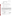|  | а. | How much did the <b>graphics</b> contribute to your overall understanding of the material<br>presented in the product you reviewed? |                                      |
|--|----|-------------------------------------------------------------------------------------------------------------------------------------|--------------------------------------|
|  |    | □ Verv much<br>□ Somewhat                                                                                                           | $\Box$ A little<br>$\Box$ Not at all |

\_\_\_\_\_\_\_\_\_\_\_\_\_\_\_\_\_\_\_\_\_\_\_\_\_\_\_\_\_\_\_\_\_\_\_\_\_\_\_\_\_\_\_\_\_\_\_\_\_\_\_\_\_\_\_\_\_\_\_\_\_\_\_\_\_\_\_\_\_\_

b. COMMENT:

#### *Other Recommendations:*

8. We welcome any other comments you have about the product you reviewed.

9. a. Do you expect to refer to the information from the product you reviewed again?

 $\mathcal{L}_\text{max} = \frac{1}{2} \sum_{i=1}^{n} \frac{1}{2} \sum_{j=1}^{n} \frac{1}{2} \sum_{j=1}^{n} \frac{1}{2} \sum_{j=1}^{n} \frac{1}{2} \sum_{j=1}^{n} \frac{1}{2} \sum_{j=1}^{n} \frac{1}{2} \sum_{j=1}^{n} \frac{1}{2} \sum_{j=1}^{n} \frac{1}{2} \sum_{j=1}^{n} \frac{1}{2} \sum_{j=1}^{n} \frac{1}{2} \sum_{j=1}^{n} \frac{1}{2} \sum_{j=1}^{n} \frac{1$  $\mathcal{L} = \{ \mathcal{L} = \{ \mathcal{L} = \{ \mathcal{L} = \mathcal{L} \} \mid \mathcal{L} = \{ \mathcal{L} = \{ \mathcal{L} = \mathcal{L} \} \mid \mathcal{L} = \{ \mathcal{L} = \{ \mathcal{L} = \mathcal{L} = \mathcal{L} = \{ \mathcal{L} = \mathcal{L} = \mathcal{L} = \mathcal{L} = \mathcal{L} = \mathcal{L} \} \mid \mathcal{L} = \{ \mathcal{L} = \{ \mathcal{L} = \mathcal{L} = \mathcal{L} = \mathcal{L} = \{ \mathcal{L} =$ 

|     |    | $\square$ Yes        | $\square$ No                                            |  |
|-----|----|----------------------|---------------------------------------------------------|--|
|     | b. | Why or why not? $\_$ |                                                         |  |
| 10. | a. |                      | Would you recommend the product you reviewed to others? |  |
|     |    | $\square$ Yes        | $\square$ No                                            |  |
|     | b. | Why or why not?      |                                                         |  |

Public reporting burden for this collection of information is estimated to average two minutes per response, including the time for reviewing instructions, gathering information, and completing and reviewing the collection of information. Send comments on the Agency's need for this information, the accuracy of the provided burden estimates, and any suggestions for reducing the burden, including the use of automated collection techniques to the Director, Information Collections Division, Office of Environmental Information, United States Environmental Protection Agency (Mail Code 2822T)**,** 1200 Pennsylvania Avenue , NW, Washington, D.C. 20460; and to the Office of Information & Regulatory Affairs, Office of Management & Budget, 725 17th Street, NW, Washington, DC 20503, Attention: Desk Officer for EPA. Include the EPA ICR number and the OMB control number in any correspondence.

OMB #2090-0019 Expires 3/31/06

*Workshop Evaluation Surveys* will be handed out at each workshop and collected at the end of the session. The form contains 10 questions.

#### SECTION I: REVIEWER INFORMATION

1. With what type of organization are you affiliated (check as may as apply)?

| Industry sector<br>Consulting company<br>g.<br>Government | Nonprofit organization<br>School or university<br>Other (please<br>specify) |  |
|-----------------------------------------------------------|-----------------------------------------------------------------------------|--|
|                                                           |                                                                             |  |

#### **OPTIONAL:** Job Title:

Please provide your name and phone number so that we can contact you if we have any questions about your responses. \_\_\_\_\_\_\_\_\_\_\_\_\_\_\_\_\_\_\_\_\_\_\_\_\_\_\_\_\_\_\_\_\_\_\_\_\_\_\_\_\_\_\_\_\_\_\_\_\_\_\_\_\_\_\_\_\_\_\_\_\_\_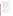## SECTION II: EFFECTIVE COMMUNICATION/CLARITY OF INFORMATION

*On a scale of 1 to 6 where 1 is very dissatisfied and 6 is very satisfied please indicate your level of satisfaction with the following* 

| <b>Readability</b><br>2.         | b.      | $\square$ 6 Very satisfied<br>$\square$ 5 Satisfied<br>$\square$ 4 Somewhat satisfied<br>$\Box$ Don't know<br><b>COMMENT:</b>                                                                                                                                                                                                           | a. Readability (i.e., flow, writing style, and presentation of concepts) of the workshop materials?<br>□ 3 Somewhat dissatisfied<br>$\square$ 2 Dissatisfied<br>$\Box$ 1 Very dissatisfied             |
|----------------------------------|---------|-----------------------------------------------------------------------------------------------------------------------------------------------------------------------------------------------------------------------------------------------------------------------------------------------------------------------------------------|--------------------------------------------------------------------------------------------------------------------------------------------------------------------------------------------------------|
| 3.                               | a.      | information in a way that is easy to grasp and comprehend)?                                                                                                                                                                                                                                                                             | Understandability of the workshop materials (i.e., the ability of the product to convey the                                                                                                            |
|                                  | b.      | $\square$ 6 Very satisfied<br>$\square$ 5 Satisfied<br>$\square$ 4 Somewhat satisfied<br>$\Box$ Don't know<br><b>COMMENT:</b>                                                                                                                                                                                                           | $\square$ 3 Somewhat dissatisfied<br>$\square$ 2 Dissatisfied<br>$\Box$ 1 Very dissatisfied                                                                                                            |
| 4.                               |         |                                                                                                                                                                                                                                                                                                                                         | Please rate the workshop materials as to how informative (i.e., instructive) the discussions within<br>each of the sections are, with $6 = \text{Very }$ informative and $1 = \text{Not }$ informative |
| a.<br>b.<br>c.<br>d.<br>е.<br>f. | Section | <b>Not</b><br>Very<br>Informative<br>Informative<br>6 5 4 3 2 1<br>654321<br>654321<br>654321<br>654321<br>654321                                                                                                                                                                                                                       | Comment                                                                                                                                                                                                |
| 5.                               | a.      | in the workshop materials?                                                                                                                                                                                                                                                                                                              | Accuracy of the technical information (knowledge regarding the subject matter) included                                                                                                                |
|                                  | b.      | $\square$ 6 Very satisfied<br>$\square$ 5 Satisfied<br>$\square$ 4 Somewhat satisfied<br>□ Don't know<br>COMMENT: The community of the community of the community of the community of the community of the community of the community of the community of the community of the community of the community of the community of the commu | $\square$ 3 Somewhat dissatisfied<br>$\Box$ 2 Dissatisfied<br>□ 1 Very dissatisfied                                                                                                                    |
|                                  |         | <b>Other Recommendations:</b>                                                                                                                                                                                                                                                                                                           |                                                                                                                                                                                                        |

6. We welcome any other comments you have about this workshop.

 $\overline{\phantom{a}}$  , and the contribution of the contribution of the contribution of the contribution of the contribution of the contribution of the contribution of the contribution of the contribution of the contribution of the

 $\overline{\phantom{a}}$  ,  $\overline{\phantom{a}}$  ,  $\overline{\phantom{a}}$  ,  $\overline{\phantom{a}}$  ,  $\overline{\phantom{a}}$  ,  $\overline{\phantom{a}}$  ,  $\overline{\phantom{a}}$  ,  $\overline{\phantom{a}}$  ,  $\overline{\phantom{a}}$  ,  $\overline{\phantom{a}}$  ,  $\overline{\phantom{a}}$  ,  $\overline{\phantom{a}}$  ,  $\overline{\phantom{a}}$  ,  $\overline{\phantom{a}}$  ,  $\overline{\phantom{a}}$  ,  $\overline{\phantom{a}}$  $\mathcal{L} = \{ \mathcal{L} = \{ \mathcal{L} = \{ \mathcal{L} = \mathcal{L} \} \mid \mathcal{L} = \{ \mathcal{L} = \{ \mathcal{L} = \mathcal{L} \} \mid \mathcal{L} = \{ \mathcal{L} = \{ \mathcal{L} = \mathcal{L} = \mathcal{L} = \{ \mathcal{L} = \mathcal{L} = \mathcal{L} = \mathcal{L} = \mathcal{L} = \mathcal{L} \} \}$